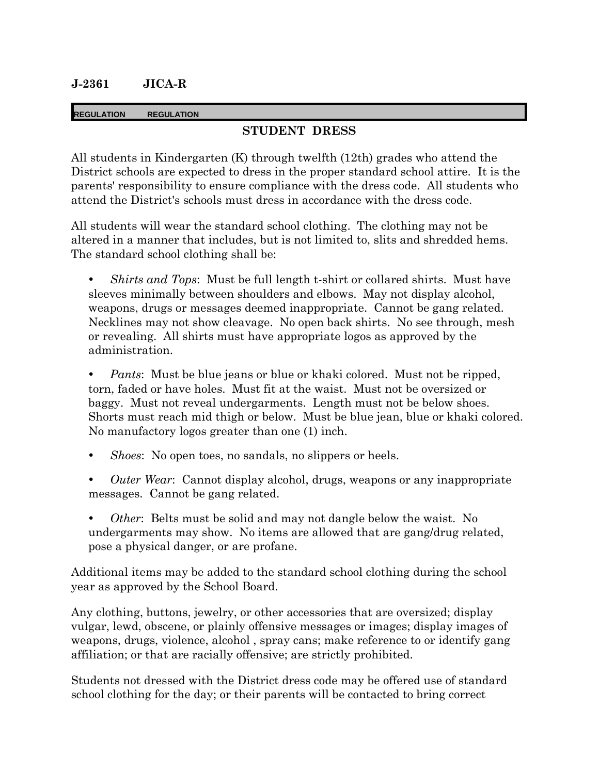### **J-2361 JICA-R**

#### **REGULATION REGULATION**

### **STUDENT DRESS**

All students in Kindergarten (K) through twelfth (12th) grades who attend the District schools are expected to dress in the proper standard school attire. It is the parents' responsibility to ensure compliance with the dress code. All students who attend the District's schools must dress in accordance with the dress code.

All students will wear the standard school clothing. The clothing may not be altered in a manner that includes, but is not limited to, slits and shredded hems. The standard school clothing shall be:

 *Shirts and Tops*: Must be full length t-shirt or collared shirts. Must have sleeves minimally between shoulders and elbows. May not display alcohol, weapons, drugs or messages deemed inappropriate. Cannot be gang related. Necklines may not show cleavage. No open back shirts. No see through, mesh or revealing. All shirts must have appropriate logos as approved by the administration.

 *Pants*: Must be blue jeans or blue or khaki colored. Must not be ripped, torn, faded or have holes. Must fit at the waist. Must not be oversized or baggy. Must not reveal undergarments. Length must not be below shoes. Shorts must reach mid thigh or below. Must be blue jean, blue or khaki colored. No manufactory logos greater than one (1) inch.

- *Shoes*: No open toes, no sandals, no slippers or heels.
- *Outer Wear*: Cannot display alcohol, drugs, weapons or any inappropriate messages. Cannot be gang related.
- *Other*: Belts must be solid and may not dangle below the waist. No undergarments may show. No items are allowed that are gang/drug related, pose a physical danger, or are profane.

Additional items may be added to the standard school clothing during the school year as approved by the School Board.

Any clothing, buttons, jewelry, or other accessories that are oversized; display vulgar, lewd, obscene, or plainly offensive messages or images; display images of weapons, drugs, violence, alcohol , spray cans; make reference to or identify gang affiliation; or that are racially offensive; are strictly prohibited.

Students not dressed with the District dress code may be offered use of standard school clothing for the day; or their parents will be contacted to bring correct